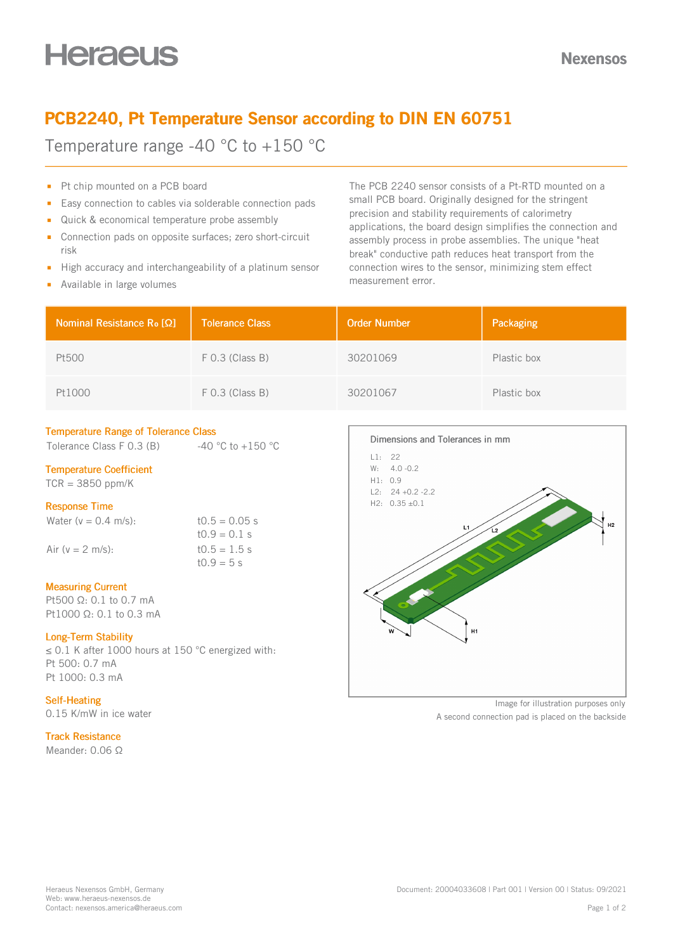## PCB2240, Pt Temperature Sensor according to DIN EN 60751

Temperature range -40 °C to +150 °C

- Pt chip mounted on a PCB board
- Easy connection to cables via solderable connection pads  $\blacksquare$
- Quick & economical temperature probe assembly
- Connection pads on opposite surfaces; zero short-circuit  $\mathbf{m}$ risk
- High accuracy and interchangeability of a platinum sensor  $\mathbf{r}$
- **Available in large volumes**

The PCB 2240 sensor consists of a Pt-RTD mounted on a small PCB board. Originally designed for the stringent precision and stability requirements of calorimetry applications, the board design simplifies the connection and assembly process in probe assemblies. The unique "heat break" conductive path reduces heat transport from the connection wires to the sensor, minimizing stem effect measurement error.

| Nominal Resistance R <sub>o</sub> [Ω] | <b>Tolerance Class</b> | <b>Order Number</b> | Packaging   |
|---------------------------------------|------------------------|---------------------|-------------|
| Pt500                                 | $F$ 0.3 (Class B)      | 30201069            | Plastic box |
| Pt1000                                | $F$ 0.3 (Class B)      | 30201067            | Plastic box |

#### Temperature Range of Tolerance Class

Tolerance Class F 0.3 (B)  $-40 °C$  to +150 °C

#### Temperature Coefficient

 $TCR = 3850$  ppm/K

#### Response Time

Water  $(v = 0.4 \text{ m/s})$ : t $0.5 = 0.05 \text{ s}$ 

 $10.9 = 0.1$  s Air ( $v = 2$  m/s): t0.5 = 1.5 s  $t0.9 = 5 s$ 

#### Measuring Current

Pt500 Ω: 0.1 to 0.7 mA Pt1000 Ω: 0.1 to 0.3 mA

#### Long-Term Stability

≤ 0.1 K after 1000 hours at 150 °C energized with: Pt 500: 0.7 mA Pt 1000: 0.3 mA

#### Self-Heating

0.15 K/mW in ice water

#### Track Resistance

Meander: 0.06 Ω



Image for illustration purposes only

A second connection pad is placed on the backside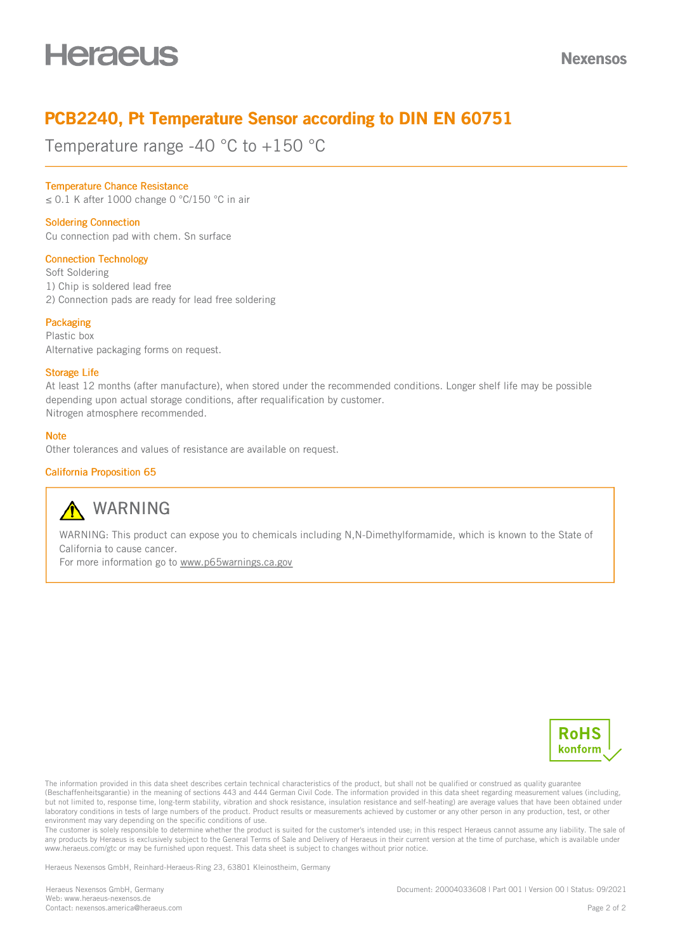## PCB2240, Pt Temperature Sensor according to DIN EN 60751

Temperature range -40 °C to +150 °C

#### Temperature Chance Resistance

≤ 0.1 K after 1000 change 0 °C/150 °C in air

#### Soldering Connection

Cu connection pad with chem. Sn surface

#### Connection Technology

Soft Soldering

1) Chip is soldered lead free

2) Connection pads are ready for lead free soldering

#### **Packaging**

Plastic box Alternative packaging forms on request.

#### Storage Life

At least 12 months (after manufacture), when stored under the recommended conditions. Longer shelf life may be possible depending upon actual storage conditions, after requalification by customer. Nitrogen atmosphere recommended.

#### **Note**

Other tolerances and values of resistance are available on request.

#### California Proposition 65



### **A** WARNING

WARNING: This product can expose you to chemicals including N,N-Dimethylformamide, which is known to the State of California to cause cancer.

For more information go to [www.p65warnings.ca.gov](https://www.p65warnings.ca.gov)



The information provided in this data sheet describes certain technical characteristics of the product, but shall not be qualified or construed as quality guarantee (Beschaffenheitsgarantie) in the meaning of sections 443 and 444 German Civil Code. The information provided in this data sheet regarding measurement values (including, but not limited to, response time, long-term stability, vibration and shock resistance, insulation resistance and self-heating) are average values that have been obtained under laboratory conditions in tests of large numbers of the product. Product results or measurements achieved by customer or any other person in any production, test, or other environment may vary depending on the specific conditions of use.

The customer is solely responsible to determine whether the product is suited for the customer's intended use; in this respect Heraeus cannot assume any liability. The sale of any products by Heraeus is exclusively subject to the General Terms of Sale and Delivery of Heraeus in their current version at the time of purchase, which is available under www.heraeus.com/gtc or may be furnished upon request. This data sheet is subject to changes without prior notice.

Heraeus Nexensos GmbH, Reinhard-Heraeus-Ring 23, 63801 Kleinostheim, Germany

Heraeus Nexensos GmbH, Germany Web: [www.heraeus-nexensos.de](http://www.heraeus-nexensos.de) Contact: [nexensos.america@heraeus.com](mailto:nexensos.america@heraeus.com?subject=Request%20via%20Datasheet)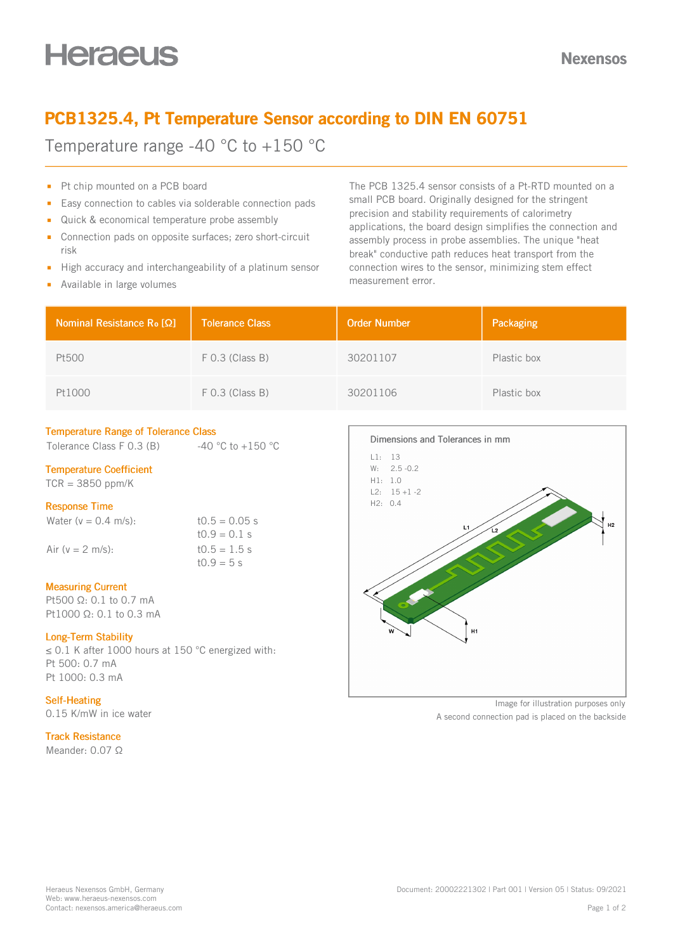## PCB1325.4, Pt Temperature Sensor according to DIN EN 60751

Temperature range -40 °C to +150 °C

- Pt chip mounted on a PCB board
- Easy connection to cables via solderable connection pads  $\blacksquare$
- Quick & economical temperature probe assembly
- Connection pads on opposite surfaces; zero short-circuit  $\mathbf{m}$ risk
- High accuracy and interchangeability of a platinum sensor  $\mathbf{r}$
- **Available in large volumes**

The PCB 1325.4 sensor consists of a Pt-RTD mounted on a small PCB board. Originally designed for the stringent precision and stability requirements of calorimetry applications, the board design simplifies the connection and assembly process in probe assemblies. The unique "heat break" conductive path reduces heat transport from the connection wires to the sensor, minimizing stem effect measurement error.

| Nominal Resistance Ro [Ω] | <b>Tolerance Class</b> | <b>Order Number</b> | Packaging   |
|---------------------------|------------------------|---------------------|-------------|
| Pt500                     | $F$ 0.3 (Class B)      | 30201107            | Plastic box |
| Pt1000                    | $F$ 0.3 (Class B)      | 30201106            | Plastic box |

#### Temperature Range of Tolerance Class

Tolerance Class F 0.3 (B)  $-40 °C$  to +150 °C

#### Temperature Coefficient

 $TCR = 3850$  ppm/K

#### Response Time

Water  $(v = 0.4 \text{ m/s})$ : t $0.5 = 0.05 \text{ s}$ 

 $10.9 = 0.1$  s Air ( $v = 2$  m/s): t0.5 = 1.5 s  $t0.9 = 5 s$ 

#### Measuring Current

Pt500 Ω: 0.1 to 0.7 mA Pt1000 Ω: 0.1 to 0.3 mA

#### Long-Term Stability

≤ 0.1 K after 1000 hours at 150 °C energized with: Pt 500: 0.7 mA Pt 1000: 0.3 mA

#### Self-Heating

0.15 K/mW in ice water

#### Track Resistance

Meander: 0.07 Ω



Image for illustration purposes only

A second connection pad is placed on the backside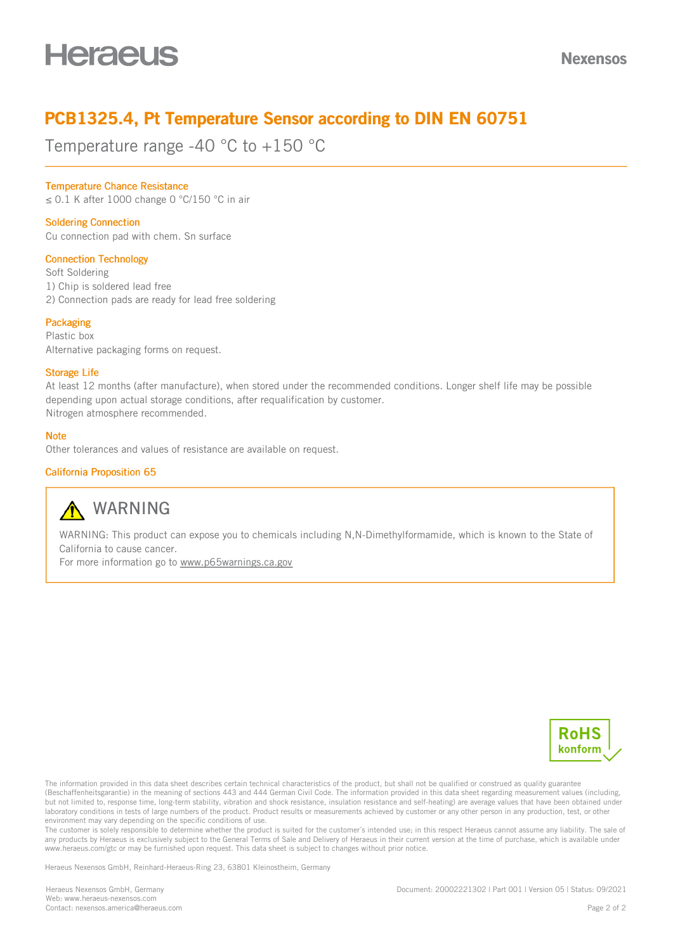## PCB1325.4, Pt Temperature Sensor according to DIN EN 60751

Temperature range -40 °C to +150 °C

#### Temperature Chance Resistance

≤ 0.1 K after 1000 change 0 °C/150 °C in air

#### Soldering Connection

Cu connection pad with chem. Sn surface

#### Connection Technology

Soft Soldering

1) Chip is soldered lead free

2) Connection pads are ready for lead free soldering

#### **Packaging**

Plastic box Alternative packaging forms on request.

#### Storage Life

At least 12 months (after manufacture), when stored under the recommended conditions. Longer shelf life may be possible depending upon actual storage conditions, after requalification by customer. Nitrogen atmosphere recommended.

#### **Note**

Other tolerances and values of resistance are available on request.

#### California Proposition 65



### **A** WARNING

WARNING: This product can expose you to chemicals including N,N-Dimethylformamide, which is known to the State of California to cause cancer.

For more information go to [www.p65warnings.ca.gov](https://www.p65warnings.ca.gov)



The information provided in this data sheet describes certain technical characteristics of the product, but shall not be qualified or construed as quality guarantee (Beschaffenheitsgarantie) in the meaning of sections 443 and 444 German Civil Code. The information provided in this data sheet regarding measurement values (including, but not limited to, response time, long-term stability, vibration and shock resistance, insulation resistance and self-heating) are average values that have been obtained under laboratory conditions in tests of large numbers of the product. Product results or measurements achieved by customer or any other person in any production, test, or other environment may vary depending on the specific conditions of use.

The customer is solely responsible to determine whether the product is suited for the customer's intended use; in this respect Heraeus cannot assume any liability. The sale of any products by Heraeus is exclusively subject to the General Terms of Sale and Delivery of Heraeus in their current version at the time of purchase, which is available under www.heraeus.com/gtc or may be furnished upon request. This data sheet is subject to changes without prior notice.

Heraeus Nexensos GmbH, Reinhard-Heraeus-Ring 23, 63801 Kleinostheim, Germany

Heraeus Nexensos GmbH, Germany Web: [www.heraeus-nexensos.com](https://www.heraeus-nexensos.com) Contact: [nexensos.america@heraeus.com](mailto:nexensos.america@heraeus.com%20?subject=Request%20via%20Datasheet) Document: 20002221302 | Part 001 | Version 05 | Status: 09/2021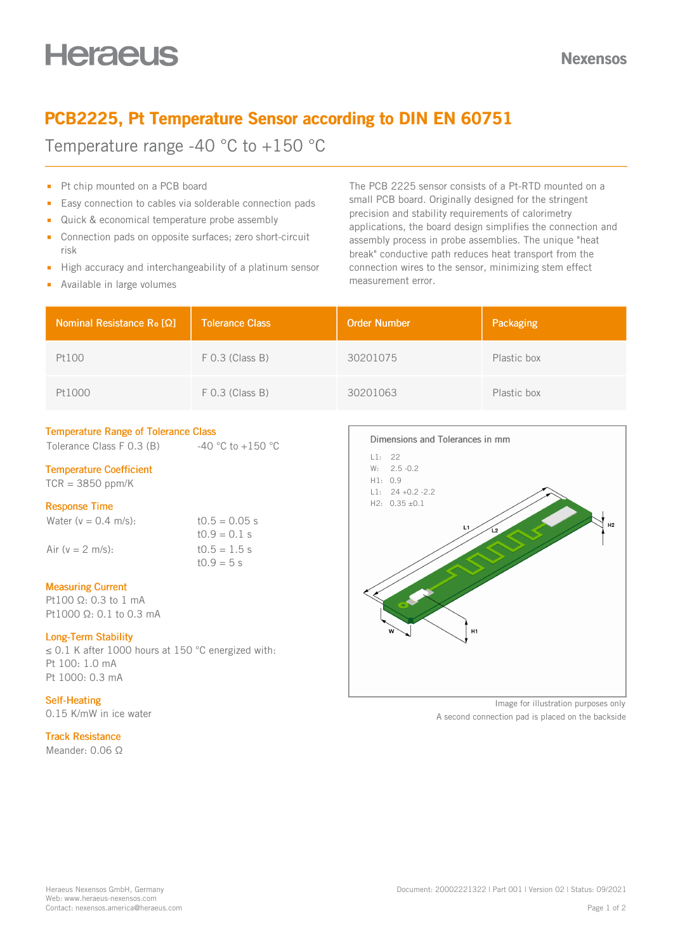## PCB2225, Pt Temperature Sensor according to DIN EN 60751

Temperature range -40 °C to +150 °C

- Pt chip mounted on a PCB board
- Easy connection to cables via solderable connection pads  $\blacksquare$
- Quick & economical temperature probe assembly
- Connection pads on opposite surfaces; zero short-circuit  $\mathbf{m}$ risk
- High accuracy and interchangeability of a platinum sensor  $\mathbf{r}$
- **Available in large volumes**

The PCB 2225 sensor consists of a Pt-RTD mounted on a small PCB board. Originally designed for the stringent precision and stability requirements of calorimetry applications, the board design simplifies the connection and assembly process in probe assemblies. The unique "heat break" conductive path reduces heat transport from the connection wires to the sensor, minimizing stem effect measurement error.

| Nominal Resistance R <sub>o</sub> [Ω] | <b>Tolerance Class</b> | <b>Order Number</b> | Packaging   |
|---------------------------------------|------------------------|---------------------|-------------|
| Pt100                                 | $F$ 0.3 (Class B)      | 30201075            | Plastic box |
| Pt1000                                | $F$ 0.3 (Class B)      | 30201063            | Plastic box |

#### Temperature Range of Tolerance Class

Tolerance Class F 0.3 (B)  $-40 °C$  to +150 °C

#### Temperature Coefficient

 $TCR = 3850$  ppm/K

#### Response Time

Water  $(v = 0.4 \text{ m/s})$ : t $0.5 = 0.05 \text{ s}$ 

 $10.9 = 0.1$  s Air ( $v = 2$  m/s): t0.5 = 1.5 s  $t0.9 = 5 s$ 

#### Measuring Current

Pt100 Ω: 0.3 to 1 mA Pt1000 Ω: 0.1 to 0.3 mA

#### Long-Term Stability

≤ 0.1 K after 1000 hours at 150 °C energized with: Pt 100: 1.0 mA Pt 1000: 0.3 mA

#### Self-Heating

0.15 K/mW in ice water

#### Track Resistance

Meander: 0.06 Ω



Image for illustration purposes only

A second connection pad is placed on the backside